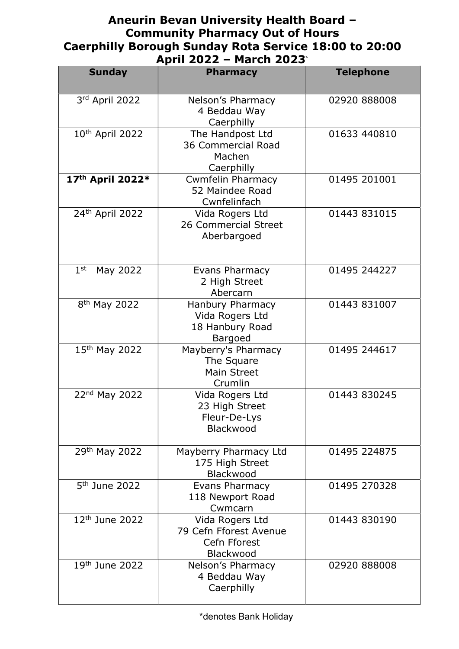## Aneurin Bevan University Health Board – Community Pharmacy Out of Hours Caerphilly Borough Sunday Rota Service 18:00 to 20:00 April 2022 – March 2023`

| <b>Sunday</b>               | <b>Pharmacy</b>                                                          | <b>Telephone</b> |
|-----------------------------|--------------------------------------------------------------------------|------------------|
| 3rd April 2022              | Nelson's Pharmacy<br>4 Beddau Way<br>Caerphilly                          | 02920 888008     |
| 10 <sup>th</sup> April 2022 | The Handpost Ltd<br>36 Commercial Road<br>Machen<br>Caerphilly           | 01633 440810     |
| 17th April 2022*            | <b>Cwmfelin Pharmacy</b><br>52 Maindee Road<br>Cwnfelinfach              | 01495 201001     |
| 24th April 2022             | Vida Rogers Ltd<br>26 Commercial Street<br>Aberbargoed                   | 01443 831015     |
| 1 <sup>st</sup><br>May 2022 | <b>Evans Pharmacy</b><br>2 High Street<br>Abercarn                       | 01495 244227     |
| 8 <sup>th</sup> May 2022    | Hanbury Pharmacy<br>Vida Rogers Ltd<br>18 Hanbury Road<br><b>Bargoed</b> | 01443 831007     |
| 15th May 2022               | Mayberry's Pharmacy<br>The Square<br>Main Street<br>Crumlin              | 01495 244617     |
| 22nd May 2022               | Vida Rogers Ltd<br>23 High Street<br>Fleur-De-Lys<br>Blackwood           | 01443 830245     |
| 29th May 2022               | Mayberry Pharmacy Ltd<br>175 High Street<br>Blackwood                    | 01495 224875     |
| 5 <sup>th</sup> June 2022   | <b>Evans Pharmacy</b><br>118 Newport Road<br>Cwmcarn                     | 01495 270328     |
| $12th$ June 2022            | Vida Rogers Ltd<br>79 Cefn Fforest Avenue<br>Cefn Fforest<br>Blackwood   | 01443 830190     |
| 19 <sup>th</sup> June 2022  | Nelson's Pharmacy<br>4 Beddau Way<br>Caerphilly                          | 02920 888008     |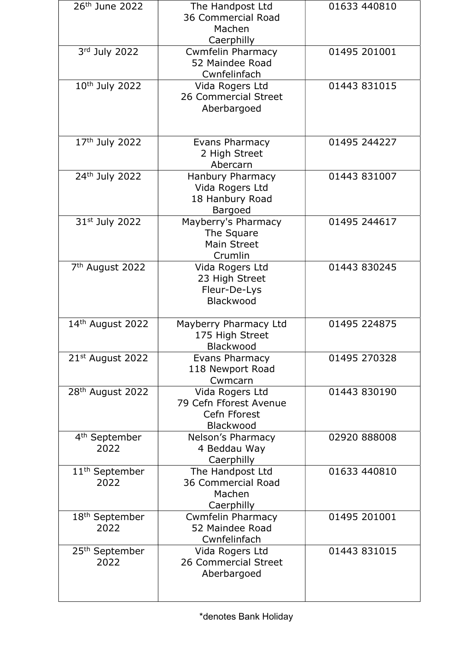| 26 <sup>th</sup> June 2022         | The Handpost Ltd<br>36 Commercial Road<br>Machen<br>Caerphilly           | 01633 440810 |
|------------------------------------|--------------------------------------------------------------------------|--------------|
| 3rd July 2022                      | <b>Cwmfelin Pharmacy</b><br>52 Maindee Road<br>Cwnfelinfach              | 01495 201001 |
| 10 <sup>th</sup> July 2022         | Vida Rogers Ltd<br>26 Commercial Street<br>Aberbargoed                   | 01443 831015 |
| 17 <sup>th</sup> July 2022         | Evans Pharmacy<br>2 High Street<br>Abercarn                              | 01495 244227 |
| 24th July 2022                     | Hanbury Pharmacy<br>Vida Rogers Ltd<br>18 Hanbury Road<br><b>Bargoed</b> | 01443 831007 |
| 31 <sup>st</sup> July 2022         | Mayberry's Pharmacy<br>The Square<br>Main Street<br>Crumlin              | 01495 244617 |
| 7 <sup>th</sup> August 2022        | Vida Rogers Ltd<br>23 High Street<br>Fleur-De-Lys<br>Blackwood           | 01443 830245 |
| $14th$ August 2022                 | Mayberry Pharmacy Ltd<br>175 High Street<br>Blackwood                    | 01495 224875 |
| 21st August 2022                   | Evans Pharmacy<br>118 Newport Road<br>Cwmcarn                            | 01495 270328 |
| 28 <sup>th</sup> August 2022       | Vida Rogers Ltd<br>79 Cefn Fforest Avenue<br>Cefn Fforest<br>Blackwood   | 01443 830190 |
| 4 <sup>th</sup> September<br>2022  | Nelson's Pharmacy<br>4 Beddau Way<br>Caerphilly                          | 02920 888008 |
| 11 <sup>th</sup> September<br>2022 | The Handpost Ltd<br>36 Commercial Road<br>Machen<br>Caerphilly           | 01633 440810 |
| 18 <sup>th</sup> September<br>2022 | <b>Cwmfelin Pharmacy</b><br>52 Maindee Road<br>Cwnfelinfach              | 01495 201001 |
| 25 <sup>th</sup> September<br>2022 | Vida Rogers Ltd<br>26 Commercial Street<br>Aberbargoed                   | 01443 831015 |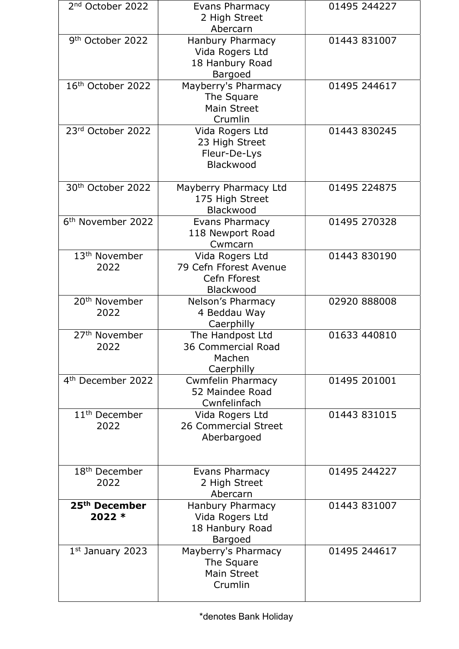| 2 <sup>nd</sup> October 2022        | Evans Pharmacy<br>2 High Street<br>Abercarn                              | 01495 244227 |
|-------------------------------------|--------------------------------------------------------------------------|--------------|
| 9 <sup>th</sup> October 2022        | Hanbury Pharmacy<br>Vida Rogers Ltd<br>18 Hanbury Road<br>Bargoed        | 01443 831007 |
| 16 <sup>th</sup> October 2022       | Mayberry's Pharmacy<br>The Square<br>Main Street<br>Crumlin              | 01495 244617 |
| 23rd October 2022                   | Vida Rogers Ltd<br>23 High Street<br>Fleur-De-Lys<br>Blackwood           | 01443 830245 |
| 30th October 2022                   | Mayberry Pharmacy Ltd<br>175 High Street<br>Blackwood                    | 01495 224875 |
| 6 <sup>th</sup> November 2022       | Evans Pharmacy<br>118 Newport Road<br>Cwmcarn                            | 01495 270328 |
| 13 <sup>th</sup> November<br>2022   | Vida Rogers Ltd<br>79 Cefn Fforest Avenue<br>Cefn Fforest<br>Blackwood   | 01443 830190 |
| 20 <sup>th</sup> November<br>2022   | Nelson's Pharmacy<br>4 Beddau Way<br>Caerphilly                          | 02920 888008 |
| 27 <sup>th</sup> November<br>2022   | The Handpost Ltd<br>36 Commercial Road<br>Machen<br>Caerphilly           | 01633 440810 |
| 4 <sup>th</sup> December 2022       | <b>Cwmfelin Pharmacy</b><br>52 Maindee Road<br>Cwnfelinfach              | 01495 201001 |
| 11 <sup>th</sup> December<br>2022   | Vida Rogers Ltd<br>26 Commercial Street<br>Aberbargoed                   | 01443 831015 |
| 18 <sup>th</sup> December<br>2022   | Evans Pharmacy<br>2 High Street<br>Abercarn                              | 01495 244227 |
| 25 <sup>th</sup> December<br>2022 * | Hanbury Pharmacy<br>Vida Rogers Ltd<br>18 Hanbury Road<br><b>Bargoed</b> | 01443 831007 |
| $1st$ January 2023                  | Mayberry's Pharmacy<br>The Square<br>Main Street<br>Crumlin              | 01495 244617 |